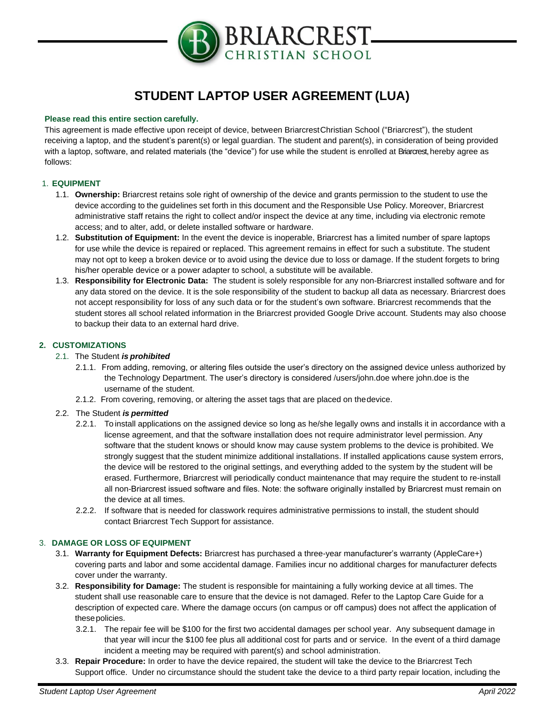

# **STUDENT LAPTOP USER AGREEMENT (LUA)**

### **Please read this entire section carefully.**

This agreement is made effective upon receipt of device, between BriarcrestChristian School ("Briarcrest"), the student receiving a laptop, and the student's parent(s) or legal guardian. The student and parent(s), in consideration of being provided with a laptop, software, and related materials (the "device") for use while the student is enrolled at Briarcrest, hereby agree as follows:

# 1. **EQUIPMENT**

- 1.1. **Ownership:** Briarcrest retains sole right of ownership of the device and grants permission to the student to use the device according to the guidelines set forth in this document and the Responsible Use Policy. Moreover, Briarcrest administrative staff retains the right to collect and/or inspect the device at any time, including via electronic remote access; and to alter, add, or delete installed software or hardware.
- 1.2. **Substitution of Equipment:** In the event the device is inoperable, Briarcrest has a limited number of spare laptops for use while the device is repaired or replaced. This agreement remains in effect for such a substitute. The student may not opt to keep a broken device or to avoid using the device due to loss or damage. If the student forgets to bring his/her operable device or a power adapter to school, a substitute will be available.
- 1.3. **Responsibility for Electronic Data:** The student is solely responsible for any non-Briarcrest installed software and for any data stored on the device. It is the sole responsibility of the student to backup all data as necessary. Briarcrest does not accept responsibility for loss of any such data or for the student's own software. Briarcrest recommends that the student stores all school related information in the Briarcrest provided Google Drive account. Students may also choose to backup their data to an external hard drive.

# **2. CUSTOMIZATIONS**

### 2.1. The Student *is prohibited*

- 2.1.1. From adding, removing, or altering files outside the user's directory on the assigned device unless authorized by the Technology Department. The user's directory is considered /users/john.doe where john.doe is the username of the student.
- 2.1.2. From covering, removing, or altering the asset tags that are placed on thedevice.

#### 2.2. The Student *is permitted*

- 2.2.1. To install applications on the assigned device so long as he/she legally owns and installs it in accordance with a license agreement, and that the software installation does not require administrator level permission. Any software that the student knows or should know may cause system problems to the device is prohibited. We strongly suggest that the student minimize additional installations. If installed applications cause system errors, the device will be restored to the original settings, and everything added to the system by the student will be erased. Furthermore, Briarcrest will periodically conduct maintenance that may require the student to re-install all non-Briarcrest issued software and files. Note: the software originally installed by Briarcrest must remain on the device at all times.
- 2.2.2. If software that is needed for classwork requires administrative permissions to install, the student should contact Briarcrest Tech Support for assistance.

# 3. **DAMAGE OR LOSS OF EQUIPMENT**

- 3.1. **Warranty for Equipment Defects:** Briarcrest has purchased a three-year manufacturer's warranty (AppleCare+) covering parts and labor and some accidental damage. Families incur no additional charges for manufacturer defects cover under the warranty.
- 3.2. **Responsibility for Damage:** The student is responsible for maintaining a fully working device at all times. The student shall use reasonable care to ensure that the device is not damaged. Refer to the Laptop Care Guide for a description of expected care. Where the damage occurs (on campus or off campus) does not affect the application of thesepolicies.
	- 3.2.1. The repair fee will be \$100 for the first two accidental damages per school year. Any subsequent damage in that year will incur the \$100 fee plus all additional cost for parts and or service. In the event of a third damage incident a meeting may be required with parent(s) and school administration.
- 3.3. **Repair Procedure:** In order to have the device repaired, the student will take the device to the Briarcrest Tech Support office. Under no circumstance should the student take the device to a third party repair location, including the